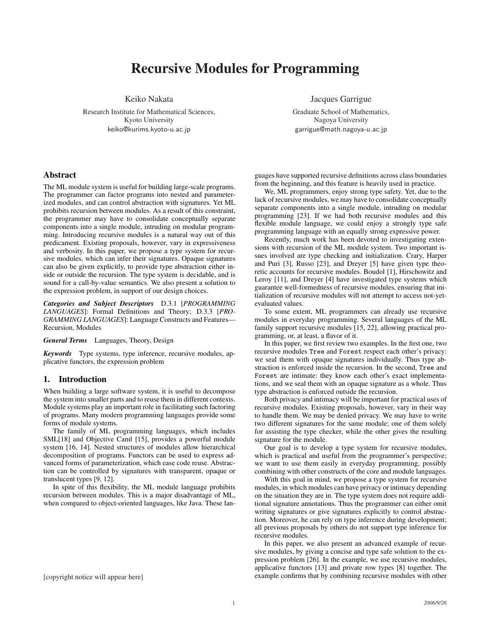# Recursive Modules for Programming

Keiko Nakata

Research Institute for Mathematical Sciences, Kyoto University keiko@kurims.kyoto-u.ac.jp

Jacques Garrigue

Graduate School of Mathematics, Nagoya University garrigue@math.nagoya-u.ac.jp

# Abstract

The ML module system is useful for building large-scale programs. The programmer can factor programs into nested and parameterized modules, and can control abstraction with signatures. Yet ML prohibits recursion between modules. As a result of this constraint, the programmer may have to consolidate conceptually separate components into a single module, intruding on modular programming. Introducing recursive modules is a natural way out of this predicament. Existing proposals, however, vary in expressiveness and verbosity. In this paper, we propose a type system for recursive modules, which can infer their signatures. Opaque signatures can also be given explicitly, to provide type abstraction either inside or outside the recursion. The type system is decidable, and is sound for a call-by-value semantics. We also present a solution to the expression problem, in support of our design choices.

*Categories and Subject Descriptors* D.3.1 [*PROGRAMMING LANGUAGES*]: Formal Definitions and Theory; D.3.3 [*PRO-GRAMMING LANGUAGES*]: Language Constructs and Features— Recursion, Modules

*General Terms* Languages, Theory, Design

*Keywords* Type systems, type inference, recursive modules, applicative functors, the expression problem

# 1. Introduction

When building a large software system, it is useful to decompose the system into smaller parts and to reuse them in different contexts. Module systems play an important role in facilitating such factoring of programs. Many modern programming languages provide some forms of module systems.

The family of ML programming languages, which includes SML[18] and Objective Caml [15], provides a powerful module system [16, 14]. Nested structures of modules allow hierarchical decomposition of programs. Functors can be used to express advanced forms of parameterization, which ease code reuse. Abstraction can be controlled by signatures with transparent, opaque or translucent types [9, 12].

In spite of this flexibility, the ML module language prohibits recursion between modules. This is a major disadvantage of ML, when compared to object-oriented languages, like Java. These languages have supported recursive definitions across class boundaries from the beginning, and this feature is heavily used in practice.

We, ML programmers, enjoy strong type safety. Yet, due to the lack of recursive modules, we may have to consolidate conceptually separate components into a single module, intruding on modular programming [23]. If we had both recursive modules and this flexible module language, we could enjoy a strongly type safe programming language with an equally strong expressive power.

Recently, much work has been devoted to investigating extensions with recursion of the ML module system. Two important issues involved are type checking and initialization. Crary, Harper and Puri [3], Russo [23], and Dreyer [5] have given type theoretic accounts for recursive modules. Boudol [1], Hirschowitz and Leroy [11], and Dreyer [4] have investigated type systems which guarantee well-formedness of recursive modules, ensuring that initialization of recursive modules will not attempt to access not-yetevaluated values.

To some extent, ML programmers can already use recursive modules in everyday programming. Several languages of the ML family support recursive modules [15, 22], allowing practical programming, or, at least, a flavor of it.

In this paper, we first review two examples. In the first one, two recursive modules Tree and Forest respect each other's privacy: we seal them with opaque signatures individually. Thus type abstraction is enforced inside the recursion. In the second, Tree and Forest are intimate: they know each other's exact implementations, and we seal them with an opaque signature as a whole. Thus type abstraction is enforced outside the recursion.

Both privacy and intimacy will be important for practical uses of recursive modules. Existing proposals, however, vary in their way to handle them. We may be denied privacy. We may have to write two different signatures for the same module; one of them solely for assisting the type checker, while the other gives the resulting signature for the module.

Our goal is to develop a type system for recursive modules, which is practical and useful from the programmer's perspective; we want to use them easily in everyday programming, possibly combining with other constructs of the core and module languages.

With this goal in mind, we propose a type system for recursive modules, in which modules can have privacy or intimacy depending on the situation they are in. The type system does not require additional signature annotations. Thus the programmer can either omit writing signatures or give signatures explicitly to control abstraction. Moreover, he can rely on type inference during development; all previous proposals by others do not support type inference for recursive modules.

In this paper, we also present an advanced example of recursive modules, by giving a concise and type safe solution to the expression problem [26]. In the example, we use recursive modules, applicative functors [13] and private row types [8] together. The example confirms that by combining recursive modules with other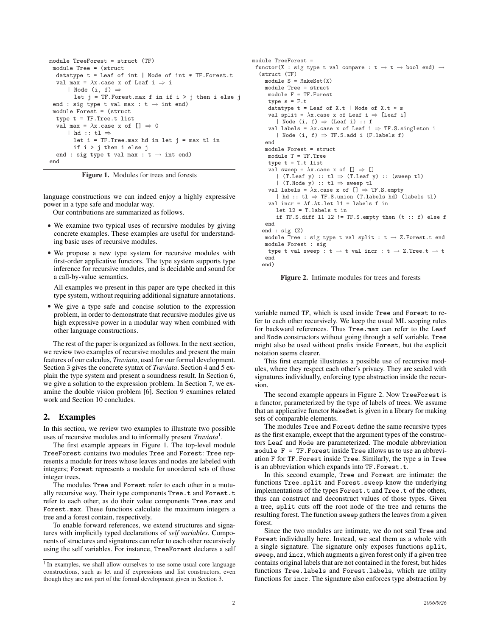```
module TreeForest = struct (TF)
module Tree = (struct
  datatype t = Leaf of int | Node of int * TF. Forest.t
  val max = λx.case x of Leaf i ⇒ i
     | Node (i, f) ⇒
       let j = TF. Forest. max f in if i > j then i else j
 end : sig type t val max : t → int end)
 module Forest = (struct
  type t = TF.Tree.t list
  val max = \lambdax.case x of [] \Rightarrow 0| hd :: tl ⇒
       let i = TF. Tree. max hd in let j = max tl in
       if i > j then i else j
  end : sig type t val max : t → int end)
end
```
Figure 1. Modules for trees and forests

language constructions we can indeed enjoy a highly expressive power in a type safe and modular way.

Our contributions are summarized as follows.

- *•* We examine two typical uses of recursive modules by giving concrete examples. These examples are useful for understanding basic uses of recursive modules.
- *•* We propose a new type system for recursive modules with first-order applicative functors. The type system supports type inference for recursive modules, and is decidable and sound for a call-by-value semantics.

All examples we present in this paper are type checked in this type system, without requiring additional signature annotations.

*•* We give a type safe and concise solution to the expression problem, in order to demonstrate that recursive modules give us high expressive power in a modular way when combined with other language constructions.

The rest of the paper is organized as follows. In the next section, we review two examples of recursive modules and present the main features of our calculus, *Traviata*, used for our formal development. Section 3 gives the concrete syntax of *Traviata*. Section 4 and 5 explain the type system and present a soundness result. In Section 6, we give a solution to the expression problem. In Section 7, we examine the double vision problem [6]. Section 9 examines related work and Section 10 concludes.

# 2. Examples

In this section, we review two examples to illustrate two possible uses of recursive modules and to informally present *Traviata*<sup>1</sup> .

The first example appears in Figure 1. The top-level module TreeForest contains two modules Tree and Forest: Tree represents a module for trees whose leaves and nodes are labeled with integers; Forest represents a module for unordered sets of those integer trees.

The modules Tree and Forest refer to each other in a mutually recursive way. Their type components Tree.t and Forest.t refer to each other, as do their value components Tree.max and Forest.max. These functions calculate the maximum integers a tree and a forest contain, respectively.

To enable forward references, we extend structures and signatures with implicitly typed declarations of *self variables*. Components of structures and signatures can refer to each other recursively using the self variables. For instance, TreeForest declares a self

```
module TreeForest =
 functor(X : sig type t val compare : t → t → bool end) →
  (struct (TF)
    module S = MakeSet(X)module Tree = struct
     module F = TF.Forest
     type s = F.tdatatype t = Leaf of X.t | Node of X.t * s
     val split = \lambdax.case x of Leaf i \Rightarrow [Leaf i]
       | Node (i, f) ⇒ (Leaf i) :: f
     val labels = λx.case x of Leaf i ⇒ TF.S.singleton i
        | Node (i, f) ⇒ TF.S.add i (F.labels f)
    end
    module Forest = struct
     module T = TF.Tree
     type t = T.t list
     val sweep = \lambdax.case x of [] \Rightarrow []| (T.Leaf y) :: tl ⇒ (T.Leaf y) :: (sweep tl)
         | (T.Node y) :: tl ⇒ sweep tl
     val labels = λx.case x of [] ⇒ TF.S.empty
        | hd :: tl ⇒ TF.S.union (T.labels hd) (labels tl)
     val incr = \lambdaf.\lambdat.let 11 = labels f in
       let 12 = T.\nlabel{eq:1} 1 abels t in
       if TF.S.diff l1 l2 != TF.S.empty then (t :: f) else f
    end
   end : sig (Z)
    module Tree : sig type t val split : t → Z.Forest.t end
    module Forest : sig
     type t val sweep : t → t val incr : t → Z.Tree.t → t
    end
   end)
```
Figure 2. Intimate modules for trees and forests

variable named TF, which is used inside Tree and Forest to refer to each other recursively. We keep the usual ML scoping rules for backward references. Thus Tree.max can refer to the Leaf and Node constructors without going through a self variable. Tree might also be used without prefix inside Forest, but the explicit notation seems clearer.

This first example illustrates a possible use of recursive modules, where they respect each other's privacy. They are sealed with signatures individually, enforcing type abstraction inside the recursion.

The second example appears in Figure 2. Now TreeForest is a functor, parameterized by the type of labels of trees. We assume that an applicative functor MakeSet is given in a library for making sets of comparable elements.

The modules Tree and Forest define the same recursive types as the first example, except that the argument types of the constructors Leaf and Node are parameterized. The module abbreviation module  $F = TF$ . Forest inside Tree allows us to use an abbreviation F for TF.Forest inside Tree. Similarly, the type s in Tree is an abbreviation which expands into TF.Forest.t.

In this second example, Tree and Forest are intimate: the functions Tree.split and Forest.sweep know the underlying implementations of the types Forest.t and Tree.t of the others, thus can construct and deconstruct values of those types. Given a tree, split cuts off the root node of the tree and returns the resulting forest. The function sweep gathers the leaves from a given forest.

Since the two modules are intimate, we do not seal Tree and Forest individually here. Instead, we seal them as a whole with a single signature. The signature only exposes functions split, sweep, and incr, which augments a given forest only if a given tree contains original labels that are not contained in the forest, but hides functions Tree.labels and Forest.labels, which are utility functions for incr. The signature also enforces type abstraction by

<sup>&</sup>lt;sup>1</sup> In examples, we shall allow ourselves to use some usual core language constructions, such as let and if expressions and list constructors, even though they are not part of the formal development given in Section 3.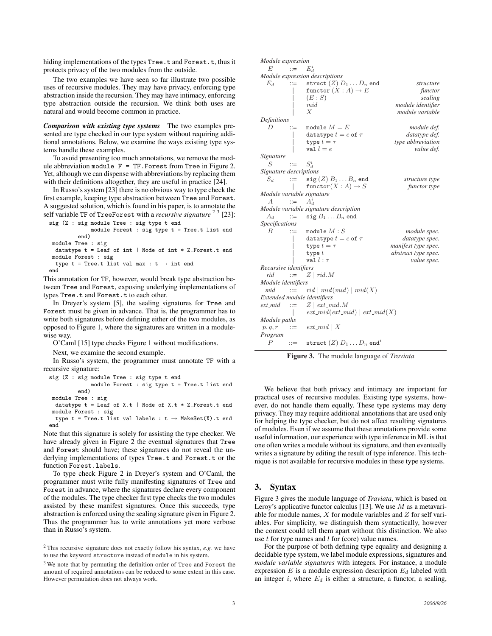hiding implementations of the types Tree.t and Forest.t, thus it protects privacy of the two modules from the outside.

The two examples we have seen so far illustrate two possible uses of recursive modules. They may have privacy, enforcing type abstraction inside the recursion. They may have intimacy, enforcing type abstraction outside the recursion. We think both uses are natural and would become common in practice.

*Comparison with existing type systems* The two examples presented are type checked in our type system without requiring additional annotations. Below, we examine the ways existing type systems handle these examples.

To avoid presenting too much annotations, we remove the module abbreviation module  $F = TF$ . Forest from Tree in Figure 2. Yet, although we can dispense with abbreviations by replacing them with their definitions altogether, they are useful in practice [24].

In Russo's system [23] there is no obvious way to type check the first example, keeping type abstraction between Tree and Forest. A suggested solution, which is found in his paper, is to annotate the self variable TF of TreeForest with a *recursive signature*<sup>23</sup> [23]: sig (Z : sig module Tree : sig type t end

module Forest : sig type t = Tree.t list end end)

module Tree : sig

datatype  $t =$  Leaf of int | Node of int  $*$  Z. Forest.t end module Forest : sig

type t = Tree.t list val max : t *→* int end end

This annotation for TF, however, would break type abstraction between Tree and Forest, exposing underlying implementations of types Tree.t and Forest.t to each other.

In Dreyer's system [5], the sealing signatures for Tree and Forest must be given in advance. That is, the programmer has to write both signatures before defining either of the two modules, as opposed to Figure 1, where the signatures are written in a modulewise way.

O'Caml [15] type checks Figure 1 without modifications.

Next, we examine the second example.

In Russo's system, the programmer must annotate TF with a recursive signature:

sig (Z : sig module Tree : sig type t end

module Forest : sig type t = Tree.t list end end)

module Tree : sig

datatype  $t =$  Leaf of X.t | Node of X.t  $*$  Z. Forest.t end module Forest : sig

type t = Tree.t list val labels : t *→* MakeSet(X).t end end

Note that this signature is solely for assisting the type checker. We have already given in Figure 2 the eventual signatures that Tree and Forest should have; these signatures do not reveal the underlying implementations of types Tree.t and Forest.t or the function Forest.labels.

To type check Figure 2 in Dreyer's system and O'Caml, the programmer must write fully manifesting signatures of Tree and Forest in advance, where the signatures declare every component of the modules. The type checker first type checks the two modules assisted by these manifest signatures. Once this succeeds, type abstraction is enforced using the sealing signature given in Figure 2. Thus the programmer has to write annotations yet more verbose than in Russo's system.

| Module expression         |                             |                                                |                     |  |  |  |
|---------------------------|-----------------------------|------------------------------------------------|---------------------|--|--|--|
| E                         | $\mathrel{\mathop:}=$       | $E_d^i$                                        |                     |  |  |  |
|                           |                             | Module expression descriptions                 |                     |  |  |  |
| $E_d$                     | $\mathbb{C} = \mathbb{C}$   | struct $(Z)$ $D_1 \ldots D_n$ end              | structure           |  |  |  |
|                           |                             | functor $(X : A) \to E$                        | functor             |  |  |  |
|                           |                             | (E: S)                                         | sealing             |  |  |  |
|                           |                             | mid                                            | module identifier   |  |  |  |
|                           |                             | X                                              | module variable     |  |  |  |
| Definitions               |                             |                                                |                     |  |  |  |
| D                         | $::=$                       | module $M = E$                                 | module def.         |  |  |  |
|                           |                             | datatype $t = c$ of $\tau$                     | datatype def.       |  |  |  |
|                           |                             | type $t=\tau$                                  | type abbreviation   |  |  |  |
|                           |                             | val $l = e$                                    | value def.          |  |  |  |
| Signature                 |                             |                                                |                     |  |  |  |
| S                         | $\mathrel{\mathop:}=$       | $S^i_{\mathcal{A}}$                            |                     |  |  |  |
| Signature descriptions    |                             |                                                |                     |  |  |  |
| $S_d$                     | $\mathbb{C} = \mathbb{C}$   | $sig(Z) B_1 B_n$ end                           | structure type      |  |  |  |
|                           |                             | functor $(X : A) \to S$                        | functor type        |  |  |  |
| Module variable signature |                             |                                                |                     |  |  |  |
| $\overline{A}$            | $\mathbb{R}^n = \mathbb{R}$ | $A_d^i$                                        |                     |  |  |  |
|                           |                             | Module variable signature description          |                     |  |  |  |
| $A_d$                     | $\mathrel{\mathop:}=$       | sig $B_1 \ldots B_n$ end                       |                     |  |  |  |
| <b>Specifications</b>     |                             |                                                |                     |  |  |  |
| B                         | $\mathrel{\mathop:}=$       | module $M : S$                                 | module spec.        |  |  |  |
|                           |                             | datatype $t = c$ of $\tau$                     | datatype spec.      |  |  |  |
|                           |                             | type $t=\tau$                                  | manifest type spec. |  |  |  |
|                           |                             | type $t$                                       | abstract type spec. |  |  |  |
|                           |                             | val $l:\tau$                                   | value spec.         |  |  |  |
| Recursive identifiers     |                             |                                                |                     |  |  |  |
| rid                       | $::=$                       | $Z \mid rid.M$                                 |                     |  |  |  |
| Module identifiers        |                             |                                                |                     |  |  |  |
| mid                       | $\mathbb{C} = \mathbb{C}$   | $rid \mid mid(md) \mid mid(X)$                 |                     |  |  |  |
|                           |                             | Extended module identifiers                    |                     |  |  |  |
| ext_mid                   |                             | $\equiv Z \mid ext\_mid.M$                     |                     |  |  |  |
|                           |                             | $ext_{mid} (ext_{mid}) \mid ext_{mid}(X)$      |                     |  |  |  |
| Module paths              |                             |                                                |                     |  |  |  |
| p, q, r                   | $\mathbb{R}^2 =$            | $ext\_mid \mid X$                              |                     |  |  |  |
| Program                   |                             |                                                |                     |  |  |  |
| P                         | $\equiv$                    | struct $(Z)$ $D_1 \ldots D_n$ end <sup>2</sup> |                     |  |  |  |

Figure 3. The module language of *Traviata*

We believe that both privacy and intimacy are important for practical uses of recursive modules. Existing type systems, however, do not handle them equally. These type systems may deny privacy. They may require additional annotations that are used only for helping the type checker, but do not affect resulting signatures of modules. Even if we assume that these annotations provide some useful information, our experience with type inference in ML is that one often writes a module without its signature, and then eventually writes a signature by editing the result of type inference. This technique is not available for recursive modules in these type systems.

# 3. Syntax

Figure 3 gives the module language of *Traviata*, which is based on Leroy's applicative functor calculus [13]. We use *M* as a metavariable for module names, *X* for module variables and *Z* for self variables. For simplicity, we distinguish them syntactically, however the context could tell them apart without this distinction. We also use *t* for type names and *l* for (core) value names.

For the purpose of both defining type equality and designing a decidable type system, we label module expressions, signatures and *module variable signatures* with integers. For instance, a module expression  $E$  is a module expression description  $E_d$  labeled with an integer  $i$ , where  $E_d$  is either a structure, a functor, a sealing,

<sup>2</sup> This recursive signature does not exactly follow his syntax, *e.g.* we have to use the keyword structure instead of module in his system.

<sup>3</sup> We note that by permuting the definition order of Tree and Forest the amount of required annotations can be reduced to some extent in this case. However permutation does not always work.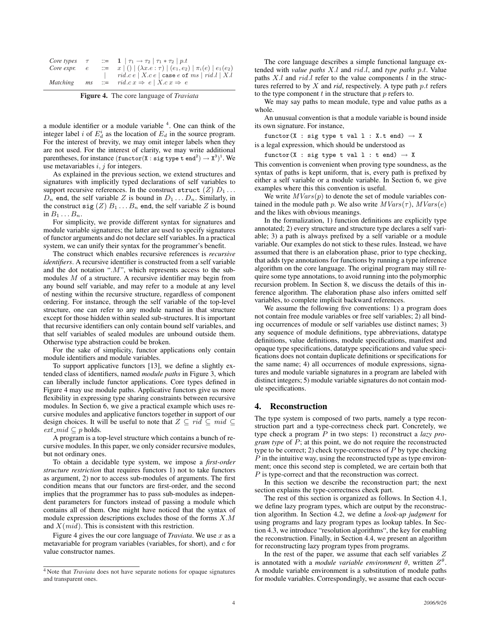| Core types      | $\tau$ |                        | $\therefore$ 1 $\tau_1 \rightarrow \tau_2$ $\tau_1 * \tau_2$   p.t                       |
|-----------------|--------|------------------------|------------------------------------------------------------------------------------------|
| Core expr.      | e      |                        | $\equiv x \mid () \mid (\lambda x.e : \tau) \mid (e_1, e_2) \mid \pi_i(e) \mid e_1(e_2)$ |
|                 |        |                        | $rid.c e   X.c e   \case e \text{ of } ms   rid.l   X.l$                                 |
| <i>Matching</i> | ms     | $\mathbb{C} = \square$ | $rid.c x \Rightarrow e \mid X.c x \Rightarrow e$                                         |

Figure 4. The core language of *Traviata*

a module identifier or a module variable <sup>4</sup>. One can think of the integer label *i* of  $E_d^i$  as the location of  $E_d$  in the source program. For the interest of brevity, we may omit integer labels when they are not used. For the interest of clarity, we may write additional parentheses, for instance  $(\texttt{functor(X: sig type t end}^2) \rightarrow \texttt{X}^3)^1.$  We use metavariables *i, j* for integers.

As explained in the previous section, we extend structures and signatures with implicitly typed declarations of self variables to support recursive references. In the construct struct  $(Z)$   $D_1$ ...  $D_n$  end, the self variable *Z* is bound in  $D_1 \ldots D_n$ . Similarly, in the construct  $\text{sig}(Z)$   $B_1 \ldots B_n$  end, the self variable *Z* is bound in  $B_1 \ldots B_n$ .

For simplicity, we provide different syntax for signatures and module variable signatures; the latter are used to specify signatures of functor arguments and do not declare self variables. In a practical system, we can unify their syntax for the programmer's benefit.

The construct which enables recursive references is *recursive identifiers*. A recursive identifier is constructed from a self variable and the dot notation "*.M*", which represents access to the submodules *M* of a structure. A recursive identifier may begin from any bound self variable, and may refer to a module at any level of nesting within the recursive structure, regardless of component ordering. For instance, through the self variable of the top-level structure, one can refer to any module named in that structure except for those hidden within sealed sub-structures. It is important that recursive identifiers can only contain bound self variables, and that self variables of sealed modules are unbound outside them. Otherwise type abstraction could be broken.

For the sake of simplicity, functor applications only contain module identifiers and module variables.

To support applicative functors [13], we define a slightly extended class of identifiers, named *module paths* in Figure 3, which can liberally include functor applications. Core types defined in Figure 4 may use module paths. Applicative functors give us more flexibility in expressing type sharing constraints between recursive modules. In Section 6, we give a practical example which uses recursive modules and applicative functors together in support of our design choices. It will be useful to note that  $Z \subseteq rid \subseteq mid \subseteq$  $ext$ <sub>*−mid*</sub>  $\subset$  *p* holds.

A program is a top-level structure which contains a bunch of recursive modules. In this paper, we only consider recursive modules, but not ordinary ones.

To obtain a decidable type system, we impose a *first-order structure restriction* that requires functors 1) not to take functors as argument, 2) nor to access sub-modules of arguments. The first condition means that our functors are first-order, and the second implies that the programmer has to pass sub-modules as independent parameters for functors instead of passing a module which contains all of them. One might have noticed that the syntax of module expression descriptions excludes those of the forms *X.M* and *X*(*mid*). This is consistent with this restriction.

Figure 4 gives the our core language of *Traviata*. We use *x* as a metavariable for program variables (variables, for short), and *c* for value constructor names.

The core language describes a simple functional language extended with *value paths X.l* and *rid.l*, and *type paths p.t*. Value paths *X.l* and *rid.l* refer to the value components *l* in the structures referred to by *X* and *rid*, respectively. A type path *p.t* refers to the type component *t* in the structure that *p* refers to.

We may say paths to mean module, type and value paths as a whole.

An unusual convention is that a module variable is bound inside its own signature. For instance,

functor(X : sig type t val 1 : X.t end)  $\rightarrow$  X is a legal expression, which should be understood as

functor(X : sig type t val l : t end) *→* X

This convention is convenient when proving type soundness, as the syntax of paths is kept uniform, that is, every path is prefixed by either a self variable or a module variable. In Section 6, we give examples where this this convention is useful.

We write *MVars*(*p*) to denote the set of module variables contained in the module path *p*. We also write  $MVars(\tau)$ ,  $MVars(e)$ and the likes with obvious meanings.

In the formalization, 1) function definitions are explicitly type annotated; 2) every structure and structure type declares a self variable; 3) a path is always prefixed by a self variable or a module variable. Our examples do not stick to these rules. Instead, we have assumed that there is an elaboration phase, prior to type checking, that adds type annotations for functions by running a type inference algorithm on the core language. The original program may still require some type annotations, to avoid running into the polymorphic recursion problem. In Section 8, we discuss the details of this inference algorithm. The elaboration phase also infers omitted self variables, to complete implicit backward references.

We assume the following five conventions: 1) a program does not contain free module variables or free self variables; 2) all binding occurrences of module or self variables use distinct names; 3) any sequence of module definitions, type abbreviations, datatype definitions, value definitions, module specifications, manifest and opaque type specifications, datatype specifications and value specifications does not contain duplicate definitions or specifications for the same name; 4) all occurrences of module expressions, signatures and module variable signatures in a program are labeled with distinct integers; 5) module variable signatures do not contain module specifications.

# 4. Reconstruction

The type system is composed of two parts, namely a type reconstruction part and a type-correctness check part. Concretely, we type check a program *P* in two steps: 1) reconstruct a *lazy program type* of *P*; at this point, we do not require the reconstructed type to be correct; 2) check type-correctness of *P* by type checking *P* in the intuitive way, using the reconstructed type as type environment; once this second step is completed, we are certain both that *P* is type-correct and that the reconstruction was correct.

In this section we describe the reconstruction part; the next section explains the type-correctness check part.

The rest of this section is organized as follows. In Section 4.1, we define lazy program types, which are output by the reconstruction algorithm. In Section 4.2, we define a *look-up judgment* for using programs and lazy program types as lookup tables. In Section 4.3, we introduce "resolution algorithms", the key for enabling the reconstruction. Finally, in Section 4.4, we present an algorithm for reconstructing lazy program types from programs.

In the rest of the paper, we assume that each self variables *Z* is annotated with a *module variable environment*  $\theta$ , written  $Z^{\theta}$ . A module variable environment is a substitution of module paths for module variables. Correspondingly, we assume that each occur-

<sup>4</sup> Note that *Traviata* does not have separate notions for opaque signatures and transparent ones.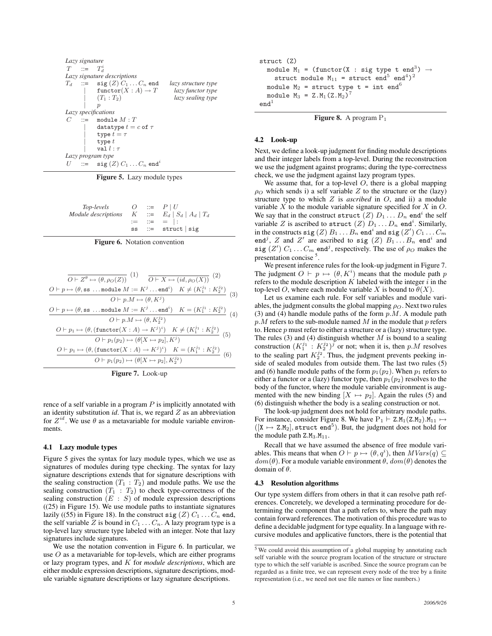Lazy signature

\n
$$
T \quad ::= \quad T_d^i
$$
\nLazy signature descriptions

\n
$$
T_d \quad ::= \quad \text{sig}(Z) \quad C_1 \quad \ldots \quad C_n \quad \text{end} \quad \text{lazy structure type}
$$
\n
$$
\begin{array}{rcl}\n\text{functor}(X:A) \rightarrow T & \text{lazy functor type} \\
(T_1: T_2) & \text{lazy scaling type} \\
p & \text{if } T_1 \quad \text{dscript map } t = c \quad \text{of } \tau\n\end{array}
$$
\nLazy specification

\n
$$
C \quad ::= \quad \text{module } M: T
$$
\n
$$
\begin{array}{rcl}\n\text{d\tt{a\tt{type}}} \quad t = c \quad \text{of } \tau\n\end{array}
$$
\nLazy program type

\n
$$
t \quad \text{val } l: \tau
$$
\nLazy program type

\n
$$
U \quad ::= \quad \text{sig}(Z) \quad C_1 \quad \ldots \quad C_n \quad \text{end}^i
$$

Figure 5. Lazy module types

| $Top-levels$ $O ::= P   U$<br>Module descriptions $K ::= E_d   S_d   A_d   T_d$ |    |                                          |
|---------------------------------------------------------------------------------|----|------------------------------------------|
|                                                                                 | SS | $:=$ $:=$ $=$ $ $ :<br>$ ::=$ struct sig |
|                                                                                 |    |                                          |



$$
\begin{array}{c} \hline \\ \hline O \vdash Z^\theta \mapsto (\theta, \rho_O(Z)) \end{array} \begin{array}{c} (1) \quad \hline \\ O \vdash X \mapsto (id, \rho_O(X)) \end{array} \begin{array}{c} (2) \\ (2) \\ (3) \end{array}
$$
\n
$$
\begin{array}{c} O \vdash p \mapsto (\theta, \texttt{ss} \ldots \texttt{module } M := K^j \ldots \texttt{end}^i) \quad K \neq (K_1^{j_1} : K_2^{j_2}) \\\hline \\ O \vdash p \mapsto (\theta, \texttt{ss} \ldots \texttt{module } M := K^j \ldots \texttt{end}^i) \quad K = (K_1^{j_1} : K_2^{j_2}) \\\hline \\ O \vdash p \mapsto (\theta, (\texttt{functor}(X : A) \to K^j)^i) \quad K \neq (K_1^{j_1} : K_2^{j_2}) \\\hline \\ O \vdash p_1 (p_2) \mapsto (\theta(X \mapsto p_2], K^j) \\\hline \\ O \vdash p_1 \mapsto (\theta, (\texttt{functor}(X : A) \to K^j)^i) \quad K = (K_1^{j_1} : K_2^{j_2}) \\\hline \\ O \vdash p_1 (p_2) \mapsto (\theta(X \mapsto p_2], K_2^{j_2}) \end{array} \begin{array}{c} (3) \\ (4) \\ (5) \end{array}
$$



rence of a self variable in a program *P* is implicitly annotated with an identity substitution *id*. That is, we regard *Z* as an abbreviation for  $Z^{id}$ . We use  $\theta$  as a metavariable for module variable environments.

#### 4.1 Lazy module types

Figure 5 gives the syntax for lazy module types, which we use as signatures of modules during type checking. The syntax for lazy signature descriptions extends that for signature descriptions with the sealing construction  $(T_1 : T_2)$  and module paths. We use the sealing construction  $(T_1 : T_2)$  to check type-correctness of the sealing construction  $(E : S)$  of module expression descriptions ((25) in Figure 15). We use module paths to instantiate signatures lazily ((55) in Figure 18). In the construct  $\text{sig}(Z)$   $C_1 \ldots C_n$  end, the self variable *Z* is bound in  $C_1 \ldots C_n$ . A lazy program type is a top-level lazy structure type labeled with an integer. Note that lazy signatures include signatures.

We use the notation convention in Figure 6. In particular, we use *O* as a metavariable for top-levels, which are either programs or lazy program types, and *K* for *module descriptions*, which are either module expression descriptions, signature descriptions, module variable signature descriptions or lazy signature descriptions.

```
struct (Z)
   module M_1 = (functor(X : sig type t end^3) \rightarrowstruct module M_{11} = struct end<sup>5</sup> end<sup>4</sup>)<sup>2</sup>
  module M_2 = struct type t = int end<sup>6</sup>
   module M_3 = Z.M_1(Z.M_2)^7end<sup>1</sup>
```


#### 4.2 Look-up

Next, we define a look-up judgment for finding module descriptions and their integer labels from a top-level. During the reconstruction we use the judgment against programs; during the type-correctness check, we use the judgment against lazy program types.

We assume that, for a top-level *O*, there is a global mapping  $\rho$ *O* which sends i) a self variable *Z* to the structure or the (lazy) structure type to which *Z* is *ascribed* in *O*, and ii) a module variable *X* to the module variable signature specified for *X* in *O*. We say that in the construct struct  $(Z)$   $D_1$   $\dots$   $D_n$  end<sup>*i*</sup> the self variable *Z* is ascribed to struct  $(Z)$   $D_1$  . . .  $D_n$  end<sup>i</sup>. Similarly, in the constructs  $\text{sig}(Z)$   $B_1 \dots B_n$  end<sup>*i*</sup> and  $\text{sig}(Z')$   $C_1 \dots C_m$ end<sup>*j*</sup>, *Z* and *Z'* are ascribed to sig  $(Z)$   $B_1 \ldots B_n$  end<sup>*i*</sup> and sig  $(Z')$   $C_1$   $\ldots$   $C_m$  end<sup>*j*</sup>, respectively. The use of  $\rho_O$  makes the presentation concise<sup>5</sup>.

We present inference rules for the look-up judgment in Figure 7. The judgment  $O \vdash p \mapsto (\theta, K^i)$  means that the module path *p* refers to the module description *K* labeled with the integer *i* in the top-level *O*, where each module variable *X* is bound to  $\theta(X)$ .

Let us examine each rule. For self variables and module variables, the judgment consults the global mapping *ρO*. Next two rules (3) and (4) handle module paths of the form *p.M*. A module path *p.M* refers to the sub-module named *M* in the module that *p* refers to. Hence *p* must refer to either a structure or a (lazy) structure type. The rules (3) and (4) distinguish whether *M* is bound to a sealing construction  $(K_1^{j_1} : K_2^{j_2})^j$  or not; when it is, then *p.M* resolves to the sealing part  $K_2^{j_2}$ . Thus, the judgment prevents peeking inside of sealed modules from outside them. The last two rules (5) and (6) handle module paths of the form  $p_1(p_2)$ . When  $p_1$  refers to either a functor or a (lazy) functor type, then  $p_1(p_2)$  resolves to the body of the functor, where the module variable environment is augmented with the new binding  $[X \mapsto p_2]$ . Again the rules (5) and (6) distinguish whether the body is a sealing construction or not.

The look-up judgment does not hold for arbitrary module paths. For instance, consider Figure 8. We have  $P_1 \vdash Z.M_1(Z.M_2).M_{11} \mapsto$  $([X \mapsto Z.M_2],$  struct end<sup>5</sup>). But, the judgment does not hold for the module path  $Z.M_3.M_{11}$ .

Recall that we have assumed the absence of free module variables. This means that when  $O \vdash p \mapsto (\theta, q^i)$ , then  $MVars(q) \subseteq$ *dom*(*θ*). For a module variable environment *θ*, *dom*(*θ*) denotes the domain of *θ*.

#### 4.3 Resolution algorithms

Our type system differs from others in that it can resolve path references. Concretely, we developed a terminating procedure for determining the component that a path refers to, where the path may contain forward references. The motivation of this procedure was to define a decidable judgment for type equality. In a language with recursive modules and applicative functors, there is the potential that

<sup>5</sup> We could avoid this assumption of a global mapping by annotating each self variable with the source program location of the structure or structure type to which the self variable is ascribed. Since the source program can be regarded as a finite tree, we can represent every node of the tree by a finite representation (i.e., we need not use file names or line numbers.)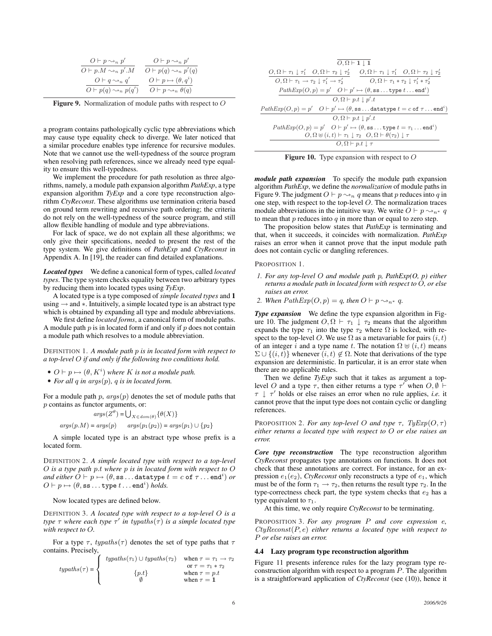| $O\models p\rightsquigarrow_n p'$      | $O\models p\rightsquigarrow_n p'$        |
|----------------------------------------|------------------------------------------|
| $O\models p.M \rightsquigarrow_n p'.M$ | $O\models p(q) \rightsquigarrow_n p'(q)$ |
| $O \vdash q \leadsto_n q'$             | $O \vdash p \mapsto (\theta, q^i)$       |
| $O \vdash p(q) \leadsto_n p(q')$       | $O \vdash p \leadsto_n \theta(q)$        |

Figure 9. Normalization of module paths with respect to *O*

a program contains pathologically cyclic type abbreviations which may cause type equality check to diverge. We later noticed that a similar procedure enables type inference for recursive modules. Note that we cannot use the well-typedness of the source program when resolving path references, since we already need type equality to ensure this well-typedness.

We implement the procedure for path resolution as three algorithms, namely, a module path expansion algorithm *PathExp*, a type expansion algorithm *TyExp* and a core type reconstruction algorithm *CtyReconst*. These algorithms use termination criteria based on ground term rewriting and recursive path ordering; the criteria do not rely on the well-typedness of the source program, and still allow flexible handling of module and type abbreviations.

For lack of space, we do not explain all these algorithms; we only give their specifications, needed to present the rest of the type system. We give definitions of *PathExp* and *CtyReconst* in Appendix A. In [19], the reader can find detailed explanations.

*Located types* We define a canonical form of types, called *located types*. The type system checks equality between two arbitrary types by reducing them into located types using *TyExp*.

A located type is a type composed of *simple located types* and 1 using *→* and *∗*. Intuitively, a simple located type is an abstract type which is obtained by expanding all type and module abbreviations.

We first define *located forms*, a canonical form of module paths. A module path *p* is in located form if and only if *p* does not contain a module path which resolves to a module abbreviation.

DEFINITION 1. *A module path p is in located form with respect to a top-level O if and only if the following two conditions hold.*

- $O \vdash p \mapsto (\theta, K^i)$  *where K is not a module path.*
- *• For all q in args*(*p*)*, q is in located form.*

For a module path *p*, *args*(*p*) denotes the set of module paths that *p* contains as functor arguments, or:

$$
args(Z^{\theta}) = \bigcup_{X \in dom(\theta)} \{\theta(X)\}
$$

$$
args(p.M) = args(p)
$$
  $args(p_1(p_2)) = args(p_1) \cup \{p_2\}$ 

A simple located type is an abstract type whose prefix is a located form.

DEFINITION 2. *A simple located type with respect to a top-level O is a type path p.t where p is in located form with respect to O*  $\overline{a}$  *and either*  $\overline{O} \vdash p \mapsto (\theta, \texttt{ss} \dots \texttt{datatype} \ t = c \texttt{ of } \tau \dots \texttt{end}^i)$  or  $O \vdash p \mapsto (\theta, \texttt{ss} \dots \texttt{type} \ t \dots \texttt{end}^i)$  *holds.* 

Now located types are defined below.

DEFINITION 3. *A located type with respect to a top-level O is a type*  $\tau$  *where each type*  $\tau'$  *in typaths* $(\tau)$  *is a simple located type with respect to O.*

For a type  $\tau$ , *typaths*( $\tau$ ) denotes the set of type paths that  $\tau$ contains. Precisely,

 $typaths(τ) =$ Í. *typaths*( $\tau_1$ )  $\cup$  *typaths*( $\tau_2$ ) when  $\tau = \tau_1 \rightarrow \tau_2$ <br>or  $\tau = \tau_1 * \tau_2$  $\mathcal{L}$ or  $\tau = \tau_1 * \tau_2$  ${p.t}$  when  $\tau = p.t$ when  $\tau = 1$ 

| $O, \Omega \vdash 1 \perp 1$                                                                                                                                                                    |  |  |  |  |
|-------------------------------------------------------------------------------------------------------------------------------------------------------------------------------------------------|--|--|--|--|
| $0, \Omega \vdash \tau_1 \downarrow \tau'_1 \quad 0, \Omega \vdash \tau_2 \downarrow \tau'_2 \quad 0, \Omega \vdash \tau_1 \downarrow \tau'_1 \quad 0, \Omega \vdash \tau_2 \downarrow \tau'_2$ |  |  |  |  |
| $Q, \Omega \vdash \tau_1 \rightarrow \tau_2 \perp \tau'_1 \rightarrow \tau'_2$ $Q, \Omega \vdash \tau_1 * \tau_2 \perp \tau'_1 * \tau'_2$                                                       |  |  |  |  |
| $PathExp(O, p) = p'$ $O \vdash p' \mapsto (\theta, \text{ss} \dots \text{type } t \dots \text{end}^i)$                                                                                          |  |  |  |  |
| $Q, \Omega \vdash p.t \mid p'.t$                                                                                                                                                                |  |  |  |  |
| $PathExp(O, p) = p'$ $O \vdash p' \mapsto (\theta, \text{ss} \dots \text{datatype } t = c \text{ of } \tau \dots \text{end}^i)$                                                                 |  |  |  |  |
| $Q, \Omega \vdash p.t \mid p'.t$                                                                                                                                                                |  |  |  |  |
| $PathExp(O, p) = p'$ $O \vdash p' \mapsto (\theta, \text{ss} \dots \text{type } t = \tau_1 \dots \text{end}^i)$                                                                                 |  |  |  |  |
| $O, \Omega \uplus (i, t) \vdash \tau_1 \downarrow \tau_2 \quad O, \Omega \vdash \theta(\tau_2) \downarrow \tau$                                                                                 |  |  |  |  |
| $O, \Omega \vdash p.t \downarrow \tau$                                                                                                                                                          |  |  |  |  |



*module path expansion* To specify the module path expansion algorithm *PathExp*, we define the *normalization* of module paths in Figure 9. The judgment  $O \vdash p \leadsto_n q$  means that *p* reduces into *q* in one step, with respect to the top-level *O*. The normalization traces module abbreviations in the intuitive way. We write  $O \vdash p \rightsquigarrow_{n^*} q$ to mean that *p* reduces into *q* in more than or equal to zero step.

The proposition below states that *PathExp* is terminating and that, when it succeeds, it coincides with normalization. *PathExp* raises an error when it cannot prove that the input module path does not contain cyclic or dangling references.

#### PROPOSITION 1.

- *1. For any top-level O and module path p, PathExp(O, p) either returns a module path in located form with respect to O, or else raises an error.*
- 2. When  $PathExp(O, p) = q$ , then  $O \vdash p \rightsquigarrow_{n^*} q$ .

*Type expansion* We define the type expansion algorithm in Figure 10. The judgment  $O$ ,  $\Omega \vdash \tau_1 \downarrow \tau_2$  means that the algorithm expands the type  $\tau_1$  into the type  $\tau_2$  where  $\Omega$  is locked, with respect to the top-level *O*. We use  $\Omega$  as a metavariable for pairs  $(i, t)$ of an integer *i* and a type name *t*. The notation  $\Omega \uplus (i, t)$  means  $\Sigma \cup \{(i, t)\}\$  whenever  $(i, t) \notin \Omega$ . Note that derivations of the type expansion are deterministic. In particular, it is an error state when there are no applicable rules.

Then we define *TyExp* such that it takes as argument a toplevel *O* and a type  $\tau$ , then either returns a type  $\tau'$  when  $O, \emptyset \vdash$ *τ* ↓ *τ*<sup>*'*</sup> holds or else raises an error when no rule applies, *i.e.* it cannot prove that the input type does not contain cyclic or dangling references.

PROPOSITION 2. *For any top-level O and type*  $\tau$ ,  $TyExp(O, \tau)$ *either returns a located type with respect to O or else raises an error.*

*Core type reconstruction* The type reconstruction algorithm *CtyReconst* propagates type annotations on functions. It does not check that these annotations are correct. For instance, for an expression *e*1(*e*2), *CtyReconst* only reconstructs a type of *e*1, which must be of the form  $\tau_1 \rightarrow \tau_2$ , then returns the result type  $\tau_2$ . In the type-correctness check part, the type system checks that  $e_2$  has a type equivalent to  $\tau_1$ .

At this time, we only require *CtyReconst* to be terminating.

PROPOSITION 3. *For any program P and core expression e, CtyReconst*(*P, e*) *either returns a located type with respect to P or else raises an error.*

#### 4.4 Lazy program type reconstruction algorithm

Figure 11 presents inference rules for the lazy program type reconstruction algorithm with respect to a program *P*. The algorithm is a straightforward application of *CtyReconst* (see (10)), hence it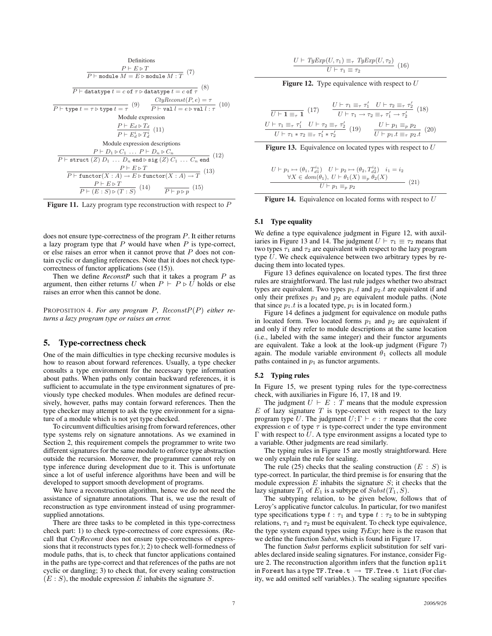

Figure 11. Lazy program type reconstruction with respect to *P*

does not ensure type-correctness of the program *P*. It either returns a lazy program type that *P* would have when *P* is type-correct, or else raises an error when it cannot prove that *P* does not contain cyclic or dangling references. Note that it does not check typecorrectness of functor applications (see (15)).

Then we define *ReconstP* such that it takes a program *P* as argument, then either returns *U* when  $P \vdash P \triangleright U$  holds or else raises an error when this cannot be done.

PROPOSITION 4. *For any program P, ReconstP*(*P*) *either returns a lazy program type or raises an error.*

# 5. Type-correctness check

One of the main difficulties in type checking recursive modules is how to reason about forward references. Usually, a type checker consults a type environment for the necessary type information about paths. When paths only contain backward references, it is sufficient to accumulate in the type environment signatures of previously type checked modules. When modules are defined recursively, however, paths may contain forward references. Then the type checker may attempt to ask the type environment for a signature of a module which is not yet type checked.

To circumvent difficulties arising from forward references, other type systems rely on signature annotations. As we examined in Section 2, this requirement compels the programmer to write two different signatures for the same module to enforce type abstraction outside the recursion. Moreover, the programmer cannot rely on type inference during development due to it. This is unfortunate since a lot of useful inference algorithms have been and will be developed to support smooth development of programs.

We have a reconstruction algorithm, hence we do not need the assistance of signature annotations. That is, we use the result of reconstruction as type environment instead of using programmersupplied annotations.

There are three tasks to be completed in this type-correctness check part: 1) to check type-correctness of core expressions. (Recall that *CtyReconst* does not ensure type-correctness of expressions that it reconstructs types for.); 2) to check well-formedness of module paths, that is, to check that functor applications contained in the paths are type-correct and that references of the paths are not cyclic or dangling; 3) to check that, for every sealing construction  $(E: S)$ , the module expression *E* inhabits the signature *S*.

$$
\frac{U \vdash \mathit{TyExp}(U, \tau_1) \equiv_{\tau} \mathit{TyExp}(U, \tau_2)}{U \vdash \tau_1 \equiv \tau_2} \tag{16}
$$

Figure 12. Type equivalence with respect to *U*

$$
\frac{U \vdash \tau_1 \equiv_{\tau} \tau'_1 \quad U \vdash \tau_2 \equiv_{\tau} \tau'_2}{U \vdash \tau_1 \to \tau_2 \equiv_{\tau} \tau'_1 \to \tau'_2} (18)
$$
\n
$$
\frac{U \vdash \tau_1 \equiv_{\tau} \tau'_1 \quad U \vdash \tau_2 \equiv_{\tau} \tau'_2}{U \vdash \tau_1 \ast \tau_2 \equiv_{\tau} \tau'_1 \ast \tau'_2} (19) \qquad \frac{U \vdash p_1 \equiv_{p} p_2}{U \vdash p_1 \cdot t \equiv_{\tau} p_2 \cdot t} (20)
$$

Figure 13. Equivalence on located types with respect to *U*

$$
U \vdash p_1 \mapsto (\theta_1, T_{d1}^{i_1}) \quad U \vdash p_2 \mapsto (\theta_2, T_{d2}^{i_2}) \quad i_1 = i_2
$$
  
\n
$$
\forall X \in dom(\theta_1), \ U \vdash \theta_1(X) \equiv_p \theta_2(X)
$$
  
\n
$$
U \vdash p_1 \equiv_p p_2
$$
\n
$$
(21)
$$

Figure 14. Equivalence on located forms with respect to *U*

#### 5.1 Type equality

We define a type equivalence judgment in Figure 12, with auxiliaries in Figure 13 and 14. The judgment  $U \vdash \tau_1 \equiv \tau_2$  means that two types  $\tau_1$  and  $\tau_2$  are equivalent with respect to the lazy program type  $\hat{U}$ . We check equivalence between two arbitrary types by reducing them into located types.

Figure 13 defines equivalence on located types. The first three rules are straightforward. The last rule judges whether two abstract types are equivalent. Two types  $p_1.t$  and  $p_2.t$  are equivalent if and only their prefixes  $p_1$  and  $p_2$  are equivalent module paths. (Note that since  $p_1 \cdot t$  is a located type,  $p_1$  is in located form.)

Figure 14 defines a judgment for equivalence on module paths in located form. Two located forms  $p_1$  and  $p_2$  are equivalent if and only if they refer to module descriptions at the same location (i.e., labeled with the same integer) and their functor arguments are equivalent. Take a look at the look-up judgment (Figure 7) again. The module variable environment  $\theta_1$  collects all module paths contained in *p*<sup>1</sup> as functor arguments.

# 5.2 Typing rules

In Figure 15, we present typing rules for the type-correctness check, with auxiliaries in Figure 16, 17, 18 and 19.

The judgment  $U \vdash E : T$  means that the module expression  $E$  of lazy signature  $T$  is type-correct with respect to the lazy program type *U*. The judgment  $U$ ;  $\Gamma \vdash e : \tau$  means that the core expression *e* of type *τ* is type-correct under the type environment Γ with respect to *U*. A type environment assigns a located type to a variable. Other judgments are read similarly.

The typing rules in Figure 15 are mostly straightforward. Here we only explain the rule for sealing.

The rule (25) checks that the sealing construction  $(E : S)$  is type-correct. In particular, the third premise is for ensuring that the module expression *E* inhabits the signature *S*; it checks that the lazy signature  $T_1$  of  $E_1$  is a subtype of  $Subst(T_1, S)$ .

The subtyping relation, to be given below, follows that of Leroy's applicative functor calculus. In particular, for two manifest type specifications type  $t : \tau_1$  and type  $t : \tau_2$  to be in subtyping relations,  $\tau_1$  and  $\tau_2$  must be equivalent. To check type equivalence, the type system expand types using *TyExp*; here is the reason that we define the function *Subst*, which is found in Figure 17.

The function *Subst* performs explicit substitution for self variables declared inside sealing signatures. For instance, consider Figure 2. The reconstruction algorithm infers that the function split in Forest has a type TF.Tree.t *→* TF.Tree.t list (For clarity, we add omitted self variables.). The sealing signature specifies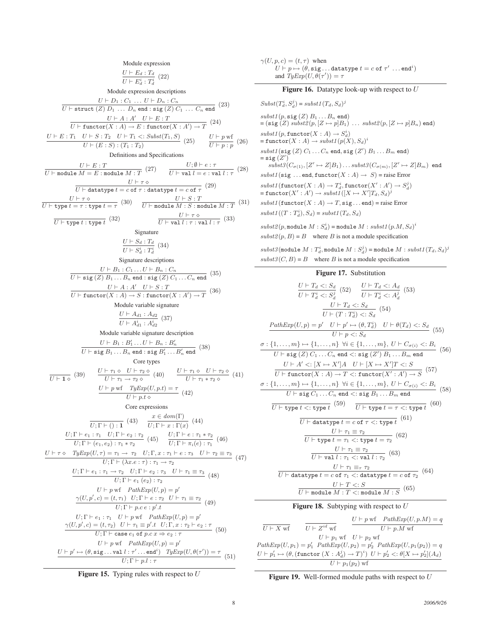Module expression

\n
$$
\frac{U + E_d : T_d}{U + E_d : T_d}
$$
\nModule expression descriptions

\n
$$
\frac{U + D_1 : C_1 ... U + D_n : C_n}{U + \text{struct}(Z) D_1 ... D_n \text{ end} : \text{sig}(Z) C_1 ... C_n \text{ end}}
$$
\n23)

\n
$$
\frac{U + D_1 : C_1 ... U + D_n : C_1 ... C_n \text{ end}}
$$
\n24)

\n
$$
\frac{U + E : T_1 U + S : T_2 U + T_1 < : \text{Subst}(T_1, S)}{U + \text{functor}(X : A) \rightarrow E : \text{functor}(X : A') \rightarrow T}
$$
\n25)

\n
$$
\frac{U + F}{U + F} = \frac{U + S_1 : T_2 U + T_1 < : \text{Subst}(T_1, S)}{U + F_1 : T_2 : T_2 U + T_1 : T_2 : \text{Subst}(T_1, S)} \text{ (25)}\n
$$
\frac{U + F \cdot T}{U + F_1 : T_2 : T_2 U + T_1 : T_2 : T_2 U + T_2 : \text{Subst}(T_1, S)} \text{ (26)}\n
$$
\frac{U + F \cdot T}{U + \text{module } M : T} = \frac{U}{V} = \frac{U}{V + V} = \frac{U}{V} = \frac{U}{V} = \frac{V}{V} = \frac{V}{V}
$$
\n26)

\n
$$
\frac{U + E \cdot T}{U + \text{trape } L = \text{ of } T : \text{datatype } t = \text{ of } T
$$
\n27)

\n
$$
\frac{U + E_2 : T_d}{U + \text{trape } t = \text{ of } T : \text{datatype } t = \text{ of } T
$$
\n28)

\n
$$
\frac{U + S_d : T_d}{U + \text{trape } t = \text{ of } T : \text{Catatype } t = \text{ of } T
$$
\n29)

\n30

\n43

\n51

\n51

\n52

\n63

\n7

\n8

\n8

\n8

\n8
$$
$$

Figure 15. Typing rules with respect to *U*

Figure 16. Datatype look-up with respect to *U*

 $Subst(T_d^i, S_d^j) = subst1(T_d, S_d)^j$  $\mathit{subst1}\left(p, \texttt{sig}\left(Z\right)B_1 \ldots B_n \texttt{end}\right)$  $=(\text{sig }(Z) \; *subsetp*, [Z \mapsto p]B_1) \; \ldots \; *subsetp*, [Z \mapsto p]B_n) \;$ end)  $subst1(p, \texttt{functor}(X : A) \rightarrow S_d^i)$  $=$  functor $(X : A) \rightarrow \text{subst1}(p(X), S_d)^i$  $subst1$  (sig  $(Z)$   $C_1$   $\ldots$   $C_n$  end, sig  $(Z')$   $B_1$   $\ldots$   $B_m$  end)  $=$  sig  $(Z')$  $subst3(C_{\sigma(1)}, [Z' \mapsto Z]B_1) \dots$ *subst3* $(C_{\sigma(m)}, [Z' \mapsto Z]B_m)$  end  $\textit{subst1}(\text{sig } ... \text{end}, \text{functor}(X : A) \rightarrow S)$  = raise Error  $\mathit{subst1}(\texttt{functor}(X:A) \rightarrow T_d^i, \texttt{functor}(X':A') \rightarrow S_d^j)$  $=$  functor $(X' : A') \rightarrow \text{subst1} ([X \mapsto X']T_d, S_d)^j$  $\text{subst1}(\text{functor}(X : A) \to T, \text{sig... end}) = \text{raise Error}$  $subst1((T : T_d^i), S_d) = \text{subst1}(T_d, S_d)$  $subst2(p, \texttt{module } M : S_d^i) = \texttt{module } M : \textit{subst1}(p. M, S_d)^i$  $subst2(p, B) = B$  where *B* is not a module specification

 $subst3$ (module  $M: T_d^i, \mathtt{module}\ M: S_d^j) = \mathtt{module}\ M: subst1\bigl(T_d, S_d\bigr)^j$  $\textit{subst3}(C, B) = B$  where *B* is not a module specification

Figure 17. Substitution  
\n
$$
\frac{U \vdash T_d < : S_d}{U \vdash T_d^i < : S_d^j} \quad \frac{U \vdash T_d < : A_d}{U \vdash T_d^i < : A_d^j} \quad (53)
$$
\n
$$
\frac{U \vdash T_d < : S_d}{U \vdash (T : T_d^i) < : S_d} \quad (54)
$$
\n
$$
\frac{PathExp(U, p) = p' \quad U \vdash p' \mapsto (\theta, T_d^i) \quad U \vdash \theta(T_d) < : S_d}{U \vdash p < : S_d} \quad (55)
$$
\n
$$
\sigma : \{1, \ldots, m\} \mapsto \{1, \ldots, n\} \quad \forall i \in \{1, \ldots, m\}, \ U \vdash C_{\sigma(i)} < : B_i \quad U \vdash \text{sig}(Z) \quad C_1 \ldots C_n \text{ end} < : \text{sig}(Z') \quad B_1 \ldots B_m \text{ end} \quad (56)
$$
\n
$$
\frac{U \vdash A' < : [X \mapsto X']A \quad U \vdash [X \mapsto X']T < : S}{U \vdash \text{functor}(X : A) \rightarrow T < : \text{functor}(X' : A') \rightarrow S} \quad (57)
$$
\n
$$
\sigma : \{1, \ldots, m\} \mapsto \{1, \ldots, n\} \quad \forall i \in \{1, \ldots, m\}, \ U \vdash C_{\sigma(i)} < : B_i \quad U \vdash \text{sign}(S_1 \ldots C_n \text{ end} < : \text{sig}(B_1 \ldots B_m \text{ end}) \quad (58)
$$
\n
$$
\frac{U \vdash \text{sig}(C_1 \ldots C_n \text{ end} < : \text{sig}(B_1 \ldots B_m \text{ end})}{U \vdash \text{type} \ t = \tau < : \text{type} \ t} \quad (60)
$$
\n
$$
\frac{U \vdash \tau_1 \equiv \tau_2}{U \vdash \text{datatype} \ t = c \text{ of } \tau < : \text{type} \ t} \quad (61)
$$
\n
$$
\frac{U \vdash \tau_1 \equiv \tau_2}{U \vdash \text{datatype} \ t = \tau_1 < : \text{type} \ t
$$

#### Figure 18. Subtyping with respect to *U*

$$
\begin{array}{ccc} \overline{U \vdash X \; \mathrm{wf}} & \overline{U \vdash Z^{id} \; \mathrm{wf}} & \overline{U \vdash p \; \mathrm{wf}} & \overline{PathExp(U,p.M)} = q \\ & U \vdash p_1 \; \mathrm{wf} & U \vdash p_2 \; \mathrm{wf} \\ \end{array}
$$
\n
$$
\begin{array}{ccc} PathExp(U,p_1) = p'_1 & PathExp(U,p_2) = p'_2 & PathExp(U,p_1(p_2)) = q \\ \underline{U \vdash p'_1 \mapsto (\theta, (\mathrm{functor}\; (X : A^j_d) \rightarrow T)^i) & U \vdash p'_2 <: \theta[X \mapsto p'_2](A_d)} \\ & U \vdash p_1(p_2) \; \mathrm{wf} \end{array}
$$

Figure 19. Well-formed module paths with respect to *U*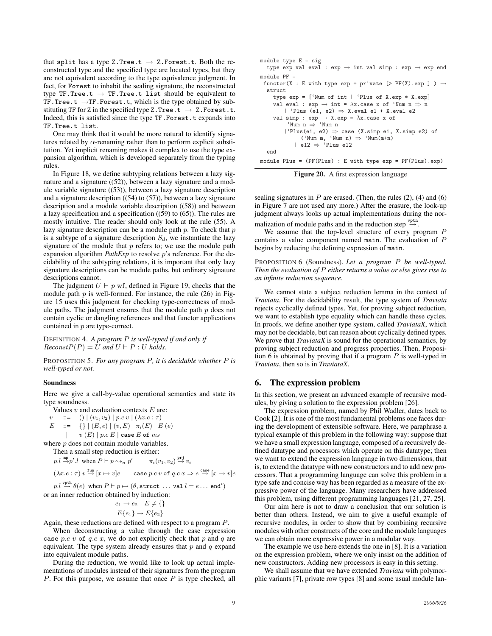that split has a type Z.Tree.t *→* Z.Forest.t. Both the reconstructed type and the specified type are located types, but they are not equivalent according to the type equivalence judgment. In fact, for Forest to inhabit the sealing signature, the reconstructed type TF.Tree.t *→* TF.Tree.t list should be equivalent to TF.Tree.t *→*TF.Forest.t, which is the type obtained by substituting TF for Z in the specified type Z.Tree.t *→* Z.Forest.t. Indeed, this is satisfied since the type TF.Forest.t expands into TF.Tree.t list.

One may think that it would be more natural to identify signatures related by  $\alpha$ -renaming rather than to perform explicit substitution. Yet implicit renaming makes it complex to use the type expansion algorithm, which is developed separately from the typing rules.

In Figure 18, we define subtyping relations between a lazy signature and a signature  $((52))$ , between a lazy signature and a module variable signature ((53)), between a lazy signature description and a signature description ((54) to (57)), between a lazy signature description and a module variable description ((58)) and between a lazy specification and a specification ((59) to (65)). The rules are mostly intuitive. The reader should only look at the rule (55). A lazy signature description can be a module path *p*. To check that *p* is a subtype of a signature description  $S_d$ , we instantiate the lazy signature of the module that *p* refers to; we use the module path expansion algorithm *PathExp* to resolve *p*'s reference. For the decidability of the subtyping relations, it is important that only lazy signature descriptions can be module paths, but ordinary signature descriptions cannot.

The judgment  $U \vdash p$  wf, defined in Figure 19, checks that the module path  $p$  is well-formed. For instance, the rule  $(26)$  in Figure 15 uses this judgment for checking type-correctness of module paths. The judgment ensures that the module path *p* does not contain cyclic or dangling references and that functor applications contained in *p* are type-correct.

DEFINITION 4. *A program P is well-typed if and only if*  $ReconstP(P) = U$  *and*  $U \vdash P : U$  *holds.* 

PROPOSITION 5. *For any program P, it is decidable whether P is well-typed or not.*

#### Soundness

Here we give a call-by-value operational semantics and state its type soundness.

Values *v* and evaluation contexts *E* are:  $v$  ::= ()  $|(v_1, v_2)| p.c v | (\lambda x.e : \tau)$  $E$  ::= {} | (*E, e*) | (*v, E*) |  $\pi_i(E)$  | *E* (*e*) *| v* (*E*) *| p.c E |* case *E* of *ms*

where *p* does not contain module variables.

Then a small step reduction is either:

$$
p.l \stackrel{\text{mp}}{\rightarrow} p'.l
$$
 when  $P \vdash p \leadsto_n p'$   $\pi_i(v_1, v_2) \stackrel{\text{prj}}{\rightarrow} v_i$ 

$$
(\lambda x.e: \tau) v \stackrel{\text{fun}}{\to} [x \mapsto v]e \qquad \text{case } p.c \, v \text{ of } q.c \, x \Rightarrow e \stackrel{\text{case}}{\to} [x \mapsto v]e
$$

 $p.l \stackrel{\text{with }}\to \theta(e)$  when  $P \vdash p \mapsto (\theta, \texttt{struct } \dots \texttt{val } l = e \dots \texttt{end}^i)$ or an inner reduction obtained by induction:

$$
\frac{e_1 \rightarrow e_2 \quad E \neq \{\}}{E\{e_1\} \rightarrow E\{e_2\}}
$$

Again, these reductions are defined with respect to a program *P*.

When deconstructing a value through the case expression case *p.c v* of *q.c x*, we do not explicitly check that *p* and *q* are equivalent. The type system already ensures that *p* and *q* expand into equivalent module paths.

During the reduction, we would like to look up actual implementations of modules instead of their signatures from the program *P*. For this purpose, we assume that once *P* is type checked, all

```
module type E = sigtype exp val eval : exp → int val simp : exp → exp end
module PF =
 functor(X : E with type \exp = private [> PF(X).exp ] ) \rightarrowstruct
    type exp = ['Num of int | 'Plus of X.exp * X.exp]
    val eval : \exp \rightarrow \text{int} = \lambda x \cdot \text{case} \times \text{of} 'Num n \Rightarrow n| 'Plus (e1, e2) ⇒ X.eval e1 + X.eval e2
    val simp : exp → X.exp = λx.case x of
         'Num n ⇒ 'Num n
        |'Plus(e1, e2) ⇒ case (X.simp e1, X.simp e2) of
              ('Num m, 'Num n) ⇒ 'Num(m+n)
            | e12 ⇒ 'Plus e12
  end
module Plus = (PF(Plus) : E with type exp = PF(Plus).exp)
```
Figure 20. A first expression language

sealing signatures in  $P$  are erased. (Then, the rules  $(2)$ ,  $(4)$  and  $(6)$ ) in Figure 7 are not used any more.) After the erasure, the look-up judgment always looks up actual implementations during the normalization of module paths and in the reduction step  $\overset{\text{vpth}}{\rightarrow}$ .

We assume that the top-level structure of every program *P* contains a value component named main. The evaluation of *P* begins by reducing the defining expression of main.

PROPOSITION 6 (Soundness). *Let a program P be well-typed. Then the evaluation of P either returns a value or else gives rise to an infinite reduction sequence.*

We cannot state a subject reduction lemma in the context of *Traviata*. For the decidability result, the type system of *Traviata* rejects cyclically defined types. Yet, for proving subject reduction, we want to establish type equality which can handle these cycles. In proofs, we define another type system, called *TraviataX*, which may not be decidable, but can reason about cyclically defined types. We prove that *TraviataX* is sound for the operational semantics, by proving subject reduction and progress properties. Then, Proposition 6 is obtained by proving that if a program *P* is well-typed in *Traviata*, then so is in *TraviataX*.

### 6. The expression problem

In this section, we present an advanced example of recursive modules, by giving a solution to the expression problem [26].

The expression problem, named by Phil Wadler, dates back to Cook [2]. It is one of the most fundamental problems one faces during the development of extensible software. Here, we paraphrase a typical example of this problem in the following way: suppose that we have a small expression language, composed of a recursively defined datatype and processors which operate on this datatype; then we want to extend the expression language in two dimensions, that is, to extend the datatype with new constructors and to add new processors. That a programming language can solve this problem in a type safe and concise way has been regarded as a measure of the expressive power of the language. Many researchers have addressed this problem, using different programming languages [21, 27, 25].

Our aim here is not to draw a conclusion that our solution is better than others. Instead, we aim to give a useful example of recursive modules, in order to show that by combining recursive modules with other constructs of the core and the module languages we can obtain more expressive power in a modular way.

The example we use here extends the one in [8]. It is a variation on the expression problem, where we only insist on the addition of new constructors. Adding new processors is easy in this setting.

We shall assume that we have extended *Traviata* with polymorphic variants [7], private row types [8] and some usual module lan-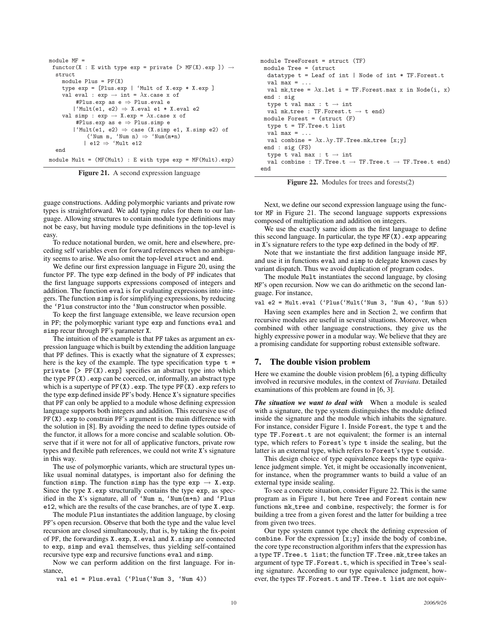```
module MF =
 functor(X : E with type exp = private [> MF(X) . exp ]) \rightarrowstruct
    module Plus = PF(X)type exp = [Plus.exp | 'Mult of X.exp * X.exp ]
    val eval : exp → int = λx.case x of
        #Plus.exp as e ⇒ Plus.eval e
       |'Mult(e1, e2) ⇒ X.eval e1 * X.eval e2
    val simp : exp → X.exp = λx.case x of
        #Plus.exp as e ⇒ Plus.simp e
       |'Mult(e1, e2) ⇒ case (X.simp e1, X.simp e2) of
            ('Num m, 'Num n) ⇒ 'Num(m*n)
           | e12 ⇒ 'Mult e12
  end
module Mult = (MF(Mult) : E with type exp = MF(Mult).exp)
```
Figure 21. A second expression language

guage constructions. Adding polymorphic variants and private row types is straightforward. We add typing rules for them to our language. Allowing structures to contain module type definitions may not be easy, but having module type definitions in the top-level is easy.

To reduce notational burden, we omit, here and elsewhere, preceding self variables even for forward references when no ambiguity seems to arise. We also omit the top-level struct and end.

We define our first expression language in Figure 20, using the functor PF. The type exp defined in the body of PF indicates that the first language supports expressions composed of integers and addition. The function eval is for evaluating expressions into integers. The function simp is for simplifying expressions, by reducing the 'Plus constructor into the 'Num constructor when possible.

To keep the first language extensible, we leave recursion open in PF; the polymorphic variant type exp and functions eval and simp recur through PF's parameter X.

The intuition of the example is that PF takes as argument an expression language which is built by extending the addition language that PF defines. This is exactly what the signature of X expresses; here is the key of the example. The type specification type  $t =$ private [> PF(X).exp] specifies an abstract type into which the type  $PF(X)$ . exp can be coerced, or, informally, an abstract type which is a supertype of  $PF(X)$ . exp. The type  $PF(X)$ . exp refers to the type exp defined inside PF's body. Hence X's signature specifies that PF can only be applied to a module whose defining expression language supports both integers and addition. This recursive use of  $PF(X)$ . exp to constrain  $PF$ 's argument is the main difference with the solution in [8]. By avoiding the need to define types outside of the functor, it allows for a more concise and scalable solution. Observe that if it were not for all of applicative functors, private row types and flexible path references, we could not write X's signature in this way.

The use of polymorphic variants, which are structural types unlike usual nominal datatypes, is important also for defining the function simp. The function simp has the type  $\exp \rightarrow X.\exp$ . Since the type X.exp structurally contains the type exp, as specified in the X's signature, all of 'Num n, 'Num(m+n) and 'Plus e12, which are the results of the case branches, are of type X.exp.

The module Plus instantiates the addition language, by closing PF's open recursion. Observe that both the type and the value level recursion are closed simultaneously, that is, by taking the fix-point of PF, the forwardings X.exp, X.eval and X.simp are connected to exp, simp and eval themselves, thus yielding self-contained recursive type exp and recursive functions eval and simp.

Now we can perform addition on the first language. For instance,

val e1 = Plus.eval ('Plus('Num 3, 'Num 4))

```
module TreeForest = struct (TF)
 module Tree = (struct
  datatype t = Leaf of int | Node of int * TF. Forest.t
  val max = ...val mk_tree = \lambdax.let i = TF.Forest.max x in Node(i, x)
 end : sig
  type t val max : t → int
  val mk tree : TF.Forest.t → t end)
 module Forest = (struct (F)
  type t = TF.Tree.t list
  val max = ...val combine = \lambdax.\lambday.TF.Tree.mk_tree [x;y]
 end : sig (FS)
  type t val max : t → int
  val combine : TF.Tree.t → TF.Tree.t → TF.Tree.t end)
end
```


Next, we define our second expression language using the functor MF in Figure 21. The second language supports expressions composed of multiplication and addition on integers.

We use the exactly same idiom as the first language to define this second language. In particular, the type  $MF(X)$ . exp appearing in X's signature refers to the type exp defined in the body of MF.

Note that we instantiate the first addition language inside MF, and use it in functions eval and simp to delegate known cases by variant dispatch. Thus we avoid duplication of program codes.

The module Mult instantiates the second language, by closing MF's open recursion. Now we can do arithmetic on the second language. For instance,

val e2 = Mult.eval ('Plus('Mult('Num 3, 'Num 4), 'Num 5))

Having seen examples here and in Section 2, we confirm that recursive modules are useful in several situations. Moreover, when combined with other language constructions, they give us the highly expressive power in a modular way. We believe that they are a promising candidate for supporting robust extensible software.

# 7. The double vision problem

Here we examine the double vision problem [6], a typing difficulty involved in recursive modules, in the context of *Traviata*. Detailed examinations of this problem are found in [6, 3].

*The situation we want to deal with* When a module is sealed with a signature, the type system distinguishes the module defined inside the signature and the module which inhabits the signature. For instance, consider Figure 1. Inside Forest, the type t and the type TF.Forest.t are not equivalent; the former is an internal type, which refers to Forest's type t inside the sealing, but the latter is an external type, which refers to Forest's type t outside.

This design choice of type equivalence keeps the type equivalence judgment simple. Yet, it might be occasionally inconvenient, for instance, when the programmer wants to build a value of an external type inside sealing.

To see a concrete situation, consider Figure 22. This is the same program as in Figure 1, but here Tree and Forest contain new functions mk\_tree and combine, respectively; the former is for building a tree from a given forest and the latter for building a tree from given two trees.

Our type system cannot type check the defining expression of combine. For the expression  $[x; y]$  inside the body of combine, the core type reconstruction algorithm infers that the expression has a type TF. Tree.t list; the function TF. Tree.mk\_tree takes an argument of type TF.Forest.t, which is specified in Tree's sealing signature. According to our type equivalence judgment, however, the types TF.Forest.t and TF.Tree.t list are not equiv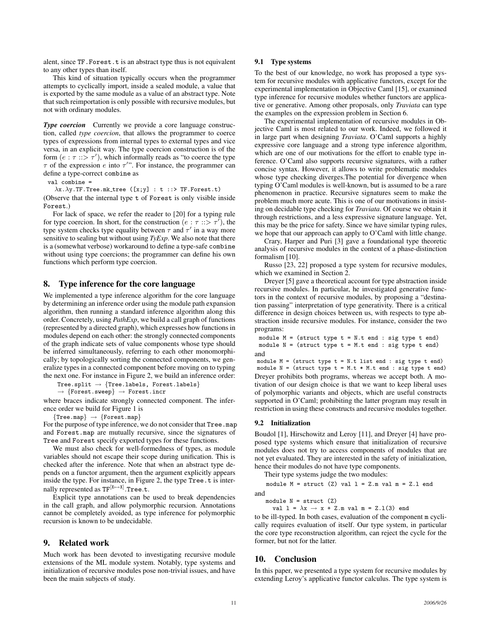alent, since TF.Forest.t is an abstract type thus is not equivalent to any other types than itself.

This kind of situation typically occurs when the programmer attempts to cyclically import, inside a sealed module, a value that is exported by the same module as a value of an abstract type. Note that such reimportation is only possible with recursive modules, but not with ordinary modules.

*Type coercion* Currently we provide a core language construction, called *type coercion*, that allows the programmer to coerce types of expressions from internal types to external types and vice versa, in an explicit way. The type coercion construction is of the form  $(e : \tau :: > \tau')$ , which informally reads as "to coerce the type  $\tau$  of the expression *e* into  $\tau$ <sup>'</sup>. For instance, the programmer can define a type-correct combine as

val combine =

*λ*x.*λ*y.TF.Tree.mk tree ([x;y] : t ::> TF.Forest.t) (Observe that the internal type t of Forest is only visible inside Forest.)

For lack of space, we refer the reader to [20] for a typing rule for type coercion. In short, for the construction  $(e : \tau :: > \tau')$ , the type system checks type equality between  $\tau$  and  $\tau'$  in a way more sensitive to sealing but without using *TyExp*. We also note that there is a (somewhat verbose) workaround to define a type-safe combine without using type coercions; the programmer can define his own functions which perform type coercion.

# 8. Type inference for the core language

We implemented a type inference algorithm for the core language by determining an inference order using the module path expansion algorithm, then running a standard inference algorithm along this order. Concretely, using *PathExp*, we build a call graph of functions (represented by a directed graph), which expresses how functions in modules depend on each other: the strongly connected components of the graph indicate sets of value components whose type should be inferred simultaneously, referring to each other monomorphically; by topologically sorting the connected components, we generalize types in a connected component before moving on to typing the next one. For instance in Figure 2, we build an inference order:

Tree.split *→ {*Tree.labels, Forest.labels*}*

*→ {*Forest.sweep*} →* Forest.incr

where braces indicate strongly connected component. The inference order we build for Figure 1 is

*{*Tree.map*} → {*Forest.map*}*

For the purpose of type inference, we do not consider that Tree.map and Forest.map are mutually recursive, since the signatures of Tree and Forest specify exported types for these functions.

We must also check for well-formedness of types, as module variables should not escape their scope during unification. This is checked after the inference. Note that when an abstract type depends on a functor argument, then the argument explicitly appears inside the type. For instance, in Figure 2, the type Tree.t is internally represented as TF[X*7→*X] *.*Tree*.*t.

Explicit type annotations can be used to break dependencies in the call graph, and allow polymorphic recursion. Annotations cannot be completely avoided, as type inference for polymorphic recursion is known to be undecidable.

# 9. Related work

Much work has been devoted to investigating recursive module extensions of the ML module system. Notably, type systems and initialization of recursive modules pose non-trivial issues, and have been the main subjects of study.

# 9.1 Type systems

To the best of our knowledge, no work has proposed a type system for recursive modules with applicative functors, except for the experimental implementation in Objective Caml [15], or examined type inference for recursive modules whether functors are applicative or generative. Among other proposals, only *Traviata* can type the examples on the expression problem in Section 6.

The experimental implementation of recursive modules in Objective Caml is most related to our work. Indeed, we followed it in large part when designing *Traviata*. O'Caml supports a highly expressive core language and a strong type inference algorithm, which are one of our motivations for the effort to enable type inference. O'Caml also supports recursive signatures, with a rather concise syntax. However, it allows to write problematic modules whose type checking diverges.The potential for divergence when typing O'Caml modules is well-known, but is assumed to be a rare phenomenon in practice. Recursive signatures seem to make the problem much more acute. This is one of our motivations in insisting on decidable type checking for *Traviata*. Of course we obtain it through restrictions, and a less expressive signature language. Yet, this may be the price for safety. Since we have similar typing rules, we hope that our approach can apply to O'Caml with little change.

Crary, Harper and Puri [3] gave a foundational type theoretic analysis of recursive modules in the context of a phase-distinction formalism [10].

Russo [23, 22] proposed a type system for recursive modules, which we examined in Section 2.

Dreyer [5] gave a theoretical account for type abstraction inside recursive modules. In particular, he investigated generative functors in the context of recursive modules, by proposing a "destination passing" interpretation of type generativity. There is a critical difference in design choices between us, with respects to type abstraction inside recursive modules. For instance, consider the two programs:

module  $M =$  (struct type  $t = N \cdot t$  end : sig type  $t$  end) module N = (struct type t = M.t end : sig type t end) and

module M = (struct type t = N.t list end : sig type t end) module N = (struct type t = M.t \* M.t end : sig type t end) Dreyer prohibits both programs, whereas we accept both. A motivation of our design choice is that we want to keep liberal uses of polymorphic variants and objects, which are useful constructs supported in O'Caml; prohibiting the latter program may result in restriction in using these constructs and recursive modules together.

# 9.2 Initialization

Boudol [1], Hirschowitz and Leroy [11], and Dreyer [4] have proposed type systems which ensure that initialization of recursive modules does not try to access components of modules that are not yet evaluated. They are interested in the safety of initialization, hence their modules do not have type components.

Their type systems judge the two modules:

```
module M = struct (Z) val l = Z.m val m = Z.l end
and
```
module  $N = struct (Z)$ 

val  $1 = \lambda x \to x + Z.m$  val  $m = Z.1(3)$  end

to be ill-typed. In both cases, evaluation of the component m cyclically requires evaluation of itself. Our type system, in particular the core type reconstruction algorithm, can reject the cycle for the former, but not for the latter.

#### 10. Conclusion

In this paper, we presented a type system for recursive modules by extending Leroy's applicative functor calculus. The type system is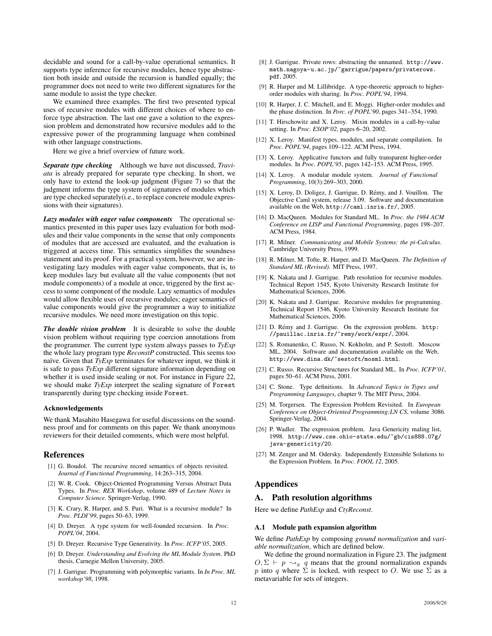decidable and sound for a call-by-value operational semantics. It supports type inference for recursive modules, hence type abstraction both inside and outside the recursion is handled equally; the programmer does not need to write two different signatures for the same module to assist the type checker.

We examined three examples. The first two presented typical uses of recursive modules with different choices of where to enforce type abstraction. The last one gave a solution to the expression problem and demonstrated how recursive modules add to the expressive power of the programming language when combined with other language constructions.

Here we give a brief overview of future work.

*Separate type checking* Although we have not discussed, *Traviata* is already prepared for separate type checking. In short, we only have to extend the look-up judgment (Figure 7) so that the judgment informs the type system of signatures of modules which are type checked separately(i.e., to replace concrete module expressions with their signatures).

*Lazy modules with eager value components* The operational semantics presented in this paper uses lazy evaluation for both modules and their value components in the sense that only components of modules that are accessed are evaluated, and the evaluation is triggered at access time. This semantics simplifies the soundness statement and its proof. For a practical system, however, we are investigating lazy modules with eager value components, that is, to keep modules lazy but evaluate all the value components (but not module components) of a module at once, triggered by the first access to some component of the module. Lazy semantics of modules would allow flexible uses of recursive modules; eager semantics of value components would give the programmer a way to initialize recursive modules. We need more investigation on this topic.

*The double vision problem* It is desirable to solve the double vision problem without requiring type coercion annotations from the programmer. The current type system always passes to *TyExp* the whole lazy program type *ReconstP* constructed. This seems too naïve. Given that *TyExp* terminates for whatever input, we think it is safe to pass *TyExp* different signature information depending on whether it is used inside sealing or not. For instance in Figure 22, we should make *TyExp* interpret the sealing signature of Forest transparently during type checking inside Forest.

#### Acknowledgements

We thank Masahito Hasegawa for useful discussions on the soundness proof and for comments on this paper. We thank anonymous reviewers for their detailed comments, which were most helpful.

#### References

- [1] G. Boudol. The recursive record semantics of objects revisited. *Journal of Functional Programming*, 14:263–315, 2004.
- [2] W. R. Cook. Object-Oriented Programming Versus Abstract Data Types. In *Proc. REX Workshop*, volume 489 of *Lecture Notes in Computer Science*. Springer-Verlag, 1990.
- [3] K. Crary, R. Harper, and S. Puri. What is a recursive module? In *Proc. PLDI'99*, pages 50–63, 1999.
- [4] D. Dreyer. A type system for well-founded recursion. In *Proc. POPL'04*, 2004.
- [5] D. Dreyer. Recursive Type Generativity. In *Proc. ICFP'05*, 2005.
- [6] D. Dreyer. *Understanding and Evolving the ML Module System*. PhD thesis, Carnegie Mellon University, 2005.
- [7] J. Garrigue. Programming with polymorphic variants. In *In Proc. ML workshop'98*, 1998.
- [8] J. Garrigue. Private rows: abstracting the unnamed. http://www. math.nagoya-u.ac.jp/~garrigue/papers/privaterows. pdf, 2005.
- [9] R. Harper and M. Lillibridge. A type-theoretic approach to higherorder modules with sharing. In *Proc. POPL'94*, 1994.
- [10] R. Harper, J. C. Mitchell, and E. Moggi. Higher-order modules and the phase distinction. In *Porc. of POPL'90*, pages 341–354, 1990.
- [11] T. Hirschowitz and X. Leroy. Mixin modules in a call-by-value setting. In *Proc. ESOP'02*, pages 6–20, 2002.
- [12] X. Leroy. Manifest types, modules, and separate compilation. In *Proc. POPL'94*, pages 109–122. ACM Press, 1994.
- [13] X. Leroy. Applicative functors and fully transparent higher-order modules. In *Proc. POPL'95*, pages 142–153. ACM Press, 1995.
- [14] X. Leroy. A modular module system. *Journal of Functional Programming*, 10(3):269–303, 2000.
- [15] X. Leroy, D. Doligez, J. Garrigue, D. Rémy, and J. Vouillon. The Objective Caml system, release 3.09. Software and documentation available on the Web, http://caml.inria.fr/, 2005.
- [16] D. MacQueen. Modules for Standard ML. In *Proc. the 1984 ACM Conference on LISP and Functional Programming*, pages 198–207. ACM Press, 1984.
- [17] R. Milner. *Communicating and Mobile Systems: the pi-Calculus*. Cambridge University Press, 1999.
- [18] R. Milner, M. Tofte, R. Harper, and D. MacQueen. *The Definition of Standard ML (Revised)*. MIT Press, 1997.
- [19] K. Nakata and J. Garrigue. Path resolution for recursive modules. Technical Report 1545, Kyoto University Research Institute for Mathematical Sciences, 2006.
- [20] K. Nakata and J. Garrigue. Recursive modules for programming. Technical Report 1546, Kyoto University Research Institute for Mathematical Sciences, 2006.
- [21] D. Rémy and J. Garrigue. On the expression problem. http: //pauillac.inria.fr/~remy/work/expr/, 2004.
- [22] S. Romanenko, C. Russo, N. Kokholm, and P. Sestoft. Moscow ML, 2004. Software and documentation available on the Web, http://www.dina.dk/~sestoft/mosml.html.
- [23] C. Russo. Recursive Structures for Standard ML. In *Proc. ICFP'01*, pages 50–61. ACM Press, 2001.
- [24] C. Stone. Type definitions. In *Advanced Topics in Types and Programming Languages*, chapter 9. The MIT Press, 2004.
- [25] M. Torgersen. The Expression Problem Revisited. In *European Conference on Object-Oriented Programming:LN CS*, volume 3086. Springer-Verlag, 2004.
- [26] P. Wadler. The expression problem. Java Genericity maling list, 1998. http://www.cse.ohio-state.edu/~gb/cis888.07g/ java-genericity/20.
- [27] M. Zenger and M. Odersky. Independently Extensible Solutions to the Expression Problem. In *Proc. FOOL 12*, 2005.

# Appendices

# A. Path resolution algorithms

Here we define *PathExp* and *CtyReconst*.

#### A.1 Module path expansion algorithm

We define *PathExp* by composing *ground normalization* and *variable normalization*, which are defined below.

We define the ground normalization in Figure 23. The judgment  $O, \Sigma$  <sup>1</sup> *p*  $\rightsquigarrow_g$  *q* means that the ground normalization expands *p* into *q* where  $\Sigma$  is locked, with respect to *O*. We use  $\Sigma$  as a metavariable for sets of integers.